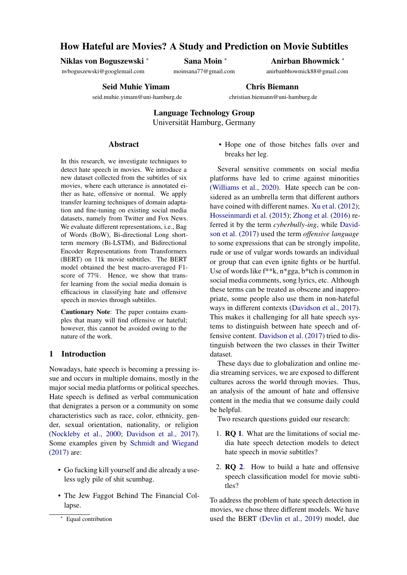# How Hateful are Movies? A Study and Prediction on Movie Subtitles

Niklas von Boguszewski *∗*

nvboguszewski@googlemail.com

Sana Moin *<sup>∗</sup>*

moinsana77@gmail.com

Anirban Bhowmick *<sup>∗</sup>*

anirbanbhowmick88@gmail.com

Seid Muhie Yimam

seid.muhie.yimam@uni-hamburg.de

Chris Biemann

christian.biemann@uni-hamburg.de

Language Technology Group Universität Hamburg, Germany

#### **Abstract**

In this research, we investigate techniques to detect hate speech in movies. We introduce a new dataset collected from the subtitles of six movies, where each utterance is annotated either as hate, offensive or normal. We apply transfer learning techniques of domain adaptation and fine-tuning on existing social media datasets, namely from Twitter and Fox News. We evaluate different representations, i.e., Bag of Words (BoW), Bi-directional Long shortterm memory (Bi-LSTM), and Bidirectional Encoder Representations from Transformers (BERT) on 11k movie subtitles. The BERT model obtained the best macro-averaged F1 score of 77%. Hence, we show that transfer learning from the social media domain is efficacious in classifying hate and offensive speech in movies through subtitles.

Cautionary Note: The paper contains examples that many will find offensive or hateful; however, this cannot be avoided owing to the nature of the work.

## 1 Introduction

Nowadays, hate speech is becoming a pressing issue and occurs in multiple domains, mostly in the major social media platforms or political speeches. Hate speech is defined as verbal communication that denigrates a person or a community on some characteristics such as race, color, ethnicity, gender, sexual orientation, nationality, or religion [\(Nockleby et al.,](#page-8-0) [2000;](#page-8-0) [Davidson et al.,](#page-8-1) [2017\)](#page-8-1). Some examples given by [Schmidt and Wiegand](#page-8-2) [\(2017](#page-8-2)) are:

- Go fucking kill yourself and die already a useless ugly pile of shit scumbag.
- The Jew Faggot Behind The Financial Collapse.

• Hope one of those bitches falls over and breaks her leg.

Several sensitive comments on social media platforms have led to crime against minorities ([Williams et al.](#page-8-3), [2020](#page-8-3)). Hate speech can be considered as an umbrella term that different authors have coined with different names. [Xu et al.](#page-8-4) ([2012\)](#page-8-4); [Hosseinmardi et al.](#page-8-5) ([2015\)](#page-8-5); [Zhong et al.](#page-8-6) [\(2016](#page-8-6)) referred it by the term *cyberbully-ing*, while [David](#page-8-1)[son et al.](#page-8-1) [\(2017](#page-8-1)) used the term *offensive language* to some expressions that can be strongly impolite, rude or use of vulgar words towards an individual or group that can even ignite fights or be hurtful. Use of words like f\*\*k, n\*gga, b\*tch is common in social media comments, song lyrics, etc. Although these terms can be treated as obscene and inappropriate, some people also use them in non-hateful ways in different contexts [\(Davidson et al.](#page-8-1), [2017](#page-8-1)). This makes it challenging for all hate speech systems to distinguish between hate speech and offensive content. [Davidson et al.](#page-8-1) ([2017\)](#page-8-1) tried to distinguish between the two classes in their Twitter dataset.

These days due to globalization and online media streaming services, we are exposed to different cultures across the world through movies. Thus, an analysis of the amount of hate and offensive content in the media that we consume daily could be helpful.

Two research questions guided our research:

- <span id="page-0-0"></span>1. RQ [1](#page-0-0). What are the limitations of social media hate speech detection models to detect hate speech in movie subtitles?
- <span id="page-0-1"></span>2. RQ [2](#page-0-1). How to build a hate and offensive speech classification model for movie subtitles?

To address the problem of hate speech detection in movies, we chose three different models. We have used the BERT [\(Devlin et al.](#page-8-7), [2019\)](#page-8-7) model, due

*<sup>∗</sup>* Equal contribution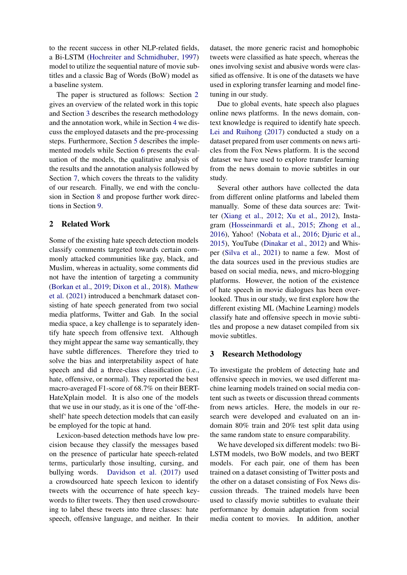to the recent success in other NLP-related fields, a Bi-LSTM ([Hochreiter and Schmidhuber](#page-8-8), [1997](#page-8-8)) model to utilize the sequential nature of movie subtitles and a classic Bag of Words (BoW) model as a baseline system.

The paper is structured as follows: Section [2](#page-1-0) gives an overview of the related work in this topic and Section [3](#page-1-1) describes the research methodology and the annotation work, while in Section [4](#page-3-0) we discuss the employed datasets and the pre-processing steps. Furthermore, Section [5](#page-4-0) describes the implemented models while Section [6](#page-4-1) presents the evaluation of the models, the qualitative analysis of the results and the annotation analysis followed by Section [7](#page-6-0), which covers the threats to the validity of our research. Finally, we end with the conclusion in Section [8](#page-7-0) and propose further work directions in Section [9](#page-7-1).

## <span id="page-1-0"></span>2 Related Work

Some of the existing hate speech detection models classify comments targeted towards certain commonly attacked communities like gay, black, and Muslim, whereas in actuality, some comments did not have the intention of targeting a community [\(Borkan et al.,](#page-7-2) [2019](#page-7-2); [Dixon et al.](#page-8-9), [2018\)](#page-8-9). [Mathew](#page-8-10) [et al.](#page-8-10) ([2021](#page-8-10)) introduced a benchmark dataset consisting of hate speech generated from two social media platforms, Twitter and Gab. In the social media space, a key challenge is to separately identify hate speech from offensive text. Although they might appear the same way semantically, they have subtle differences. Therefore they tried to solve the bias and interpretability aspect of hate speech and did a three-class classification (i.e., hate, offensive, or normal). They reported the best macro-averaged F1-score of 68.7% on their BERT-HateXplain model. It is also one of the models that we use in our study, as it is one of the 'off-theshelf' hate speech detection models that can easily be employed for the topic at hand.

Lexicon-based detection methods have low precision because they classify the messages based on the presence of particular hate speech-related terms, particularly those insulting, cursing, and bullying words. [Davidson et al.](#page-8-1) ([2017\)](#page-8-1) used a crowdsourced hate speech lexicon to identify tweets with the occurrence of hate speech keywords to filter tweets. They then used crowdsourcing to label these tweets into three classes: hate speech, offensive language, and neither. In their

dataset, the more generic racist and homophobic tweets were classified as hate speech, whereas the ones involving sexist and abusive words were classified as offensive. It is one of the datasets we have used in exploring transfer learning and model finetuning in our study.

Due to global events, hate speech also plagues online news platforms. In the news domain, context knowledge is required to identify hate speech. [Lei and Ruihong](#page-8-11) ([2017\)](#page-8-11) conducted a study on a dataset prepared from user comments on news articles from the Fox News platform. It is the second dataset we have used to explore transfer learning from the news domain to movie subtitles in our study.

Several other authors have collected the data from different online platforms and labeled them manually. Some of these data sources are: Twitter [\(Xiang et al.](#page-8-12), [2012;](#page-8-12) [Xu et al.](#page-8-4), [2012\)](#page-8-4), Instagram ([Hosseinmardi et al.](#page-8-5), [2015](#page-8-5); [Zhong et al.](#page-8-6), [2016](#page-8-6)), Yahoo! ([Nobata et al.,](#page-8-13) [2016;](#page-8-13) [Djuric et al.](#page-8-14), [2015](#page-8-14)), YouTube ([Dinakar et al.](#page-8-15), [2012](#page-8-15)) and Whisper [\(Silva et al.](#page-8-16), [2021\)](#page-8-16) to name a few. Most of the data sources used in the previous studies are based on social media, news, and micro-blogging platforms. However, the notion of the existence of hate speech in movie dialogues has been overlooked. Thus in our study, we first explore how the different existing ML (Machine Learning) models classify hate and offensive speech in movie subtitles and propose a new dataset compiled from six movie subtitles.

## <span id="page-1-1"></span>3 Research Methodology

To investigate the problem of detecting hate and offensive speech in movies, we used different machine learning models trained on social media content such as tweets or discussion thread comments from news articles. Here, the models in our research were developed and evaluated on an indomain 80% train and 20% test split data using the same random state to ensure comparability.

We have developed six different models: two Bi-LSTM models, two BoW models, and two BERT models. For each pair, one of them has been trained on a dataset consisting of Twitter posts and the other on a dataset consisting of Fox News discussion threads. The trained models have been used to classify movie subtitles to evaluate their performance by domain adaptation from social media content to movies. In addition, another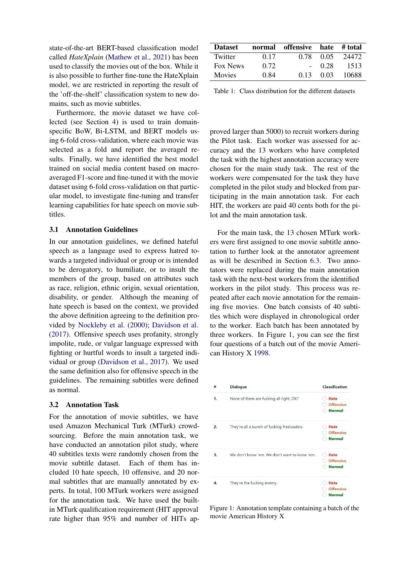state-of-the-art BERT-based classification model called *HateXplain* ([Mathew et al.,](#page-8-10) [2021](#page-8-10)) has been used to classify the movies out of the box. While it is also possible to further fine-tune the HateXplain model, we are restricted in reporting the result of the 'off-the-shelf' classification system to new domains, such as movie subtitles.

Furthermore, the movie dataset we have collected (see Section [4\)](#page-3-0) is used to train domainspecific BoW, Bi-LSTM, and BERT models using 6-fold cross-validation, where each movie was selected as a fold and report the averaged results. Finally, we have identified the best model trained on social media content based on macroaveraged F1-score and fine-tuned it with the movie dataset using 6-fold cross-validation on that particular model, to investigate fine-tuning and transfer learning capabilities for hate speech on movie subtitles.

#### 3.1 Annotation Guidelines

In our annotation guidelines, we defined hateful speech as a language used to express hatred towards a targeted individual or group or is intended to be derogatory, to humiliate, or to insult the members of the group, based on attributes such as race, religion, ethnic origin, sexual orientation, disability, or gender. Although the meaning of hate speech is based on the context, we provided the above definition agreeing to the definition provided by [Nockleby et al.](#page-8-0) [\(2000](#page-8-0)); [Davidson et al.](#page-8-1) [\(2017](#page-8-1)). Offensive speech uses profanity, strongly impolite, rude, or vulgar language expressed with fighting or hurtful words to insult a targeted individual or group ([Davidson et al.,](#page-8-1) [2017](#page-8-1)). We used the same definition also for offensive speech in the guidelines. The remaining subtitles were defined as normal.

#### 3.2 Annotation Task

For the annotation of movie subtitles, we have used Amazon Mechanical Turk (MTurk) crowdsourcing. Before the main annotation task, we have conducted an annotation pilot study, where 40 subtitles texts were randomly chosen from the movie subtitle dataset. Each of them has included 10 hate speech, 10 offensive, and 20 normal subtitles that are manually annotated by experts. In total, 100 MTurk workers were assigned for the annotation task. We have used the builtin MTurk qualification requirement (HIT approval rate higher than 95% and number of HITs ap-

<span id="page-2-1"></span>

| <b>Dataset</b> |      | normal offensive hate #total |      |       |
|----------------|------|------------------------------|------|-------|
| Twitter        | 0.17 | 0.78                         | 0.05 | 24472 |
| Fox News       | 0.72 |                              | 0.28 | 1513  |
| <b>Movies</b>  | 0.84 | 0.13                         | 0.03 | 10688 |

Table 1: Class distribution for the different datasets

proved larger than 5000) to recruit workers during the Pilot task. Each worker was assessed for accuracy and the 13 workers who have completed the task with the highest annotation accuracy were chosen for the main study task. The rest of the workers were compensated for the task they have completed in the pilot study and blocked from participating in the main annotation task. For each HIT, the workers are paid 40 cents both for the pilot and the main annotation task.

For the main task, the 13 chosen MTurk workers were first assigned to one movie subtitle annotation to further look at the annotator agreement as will be described in Section [6.3](#page-6-1). Two annotators were replaced during the main annotation task with the next-best workers from the identified workers in the pilot study. This process was repeated after each movie annotation for the remaining five movies. One batch consists of 40 subtitles which were displayed in chronological order to the worker. Each batch has been annotated by three workers. In Figure [1,](#page-2-0) you can see the first four questions of a batch out of the movie American History X [1998](#page-7-3).

<span id="page-2-0"></span>

| #  | <b>Dialogue</b>                               | Classification   |
|----|-----------------------------------------------|------------------|
| 1. | None of them are fucking all right, OK?       | <b>Hate</b>      |
|    |                                               | <b>Offensive</b> |
|    |                                               | <b>Normal</b>    |
| 2. | They're all a bunch of fucking freeloaders.   | <b>Hate</b>      |
|    |                                               | <b>Offensive</b> |
|    |                                               | <b>Normal</b>    |
| 3. | We don't know 'em. We don't want to know 'em. | <b>Hate</b>      |
|    |                                               | <b>Offensive</b> |
|    |                                               | <b>Normal</b>    |
| 4. | They're the fucking enemy.                    | <b>Hate</b>      |
|    |                                               | <b>Offensive</b> |
|    |                                               | <b>Normal</b>    |

Figure 1: Annotation template containing a batch of the movie American History X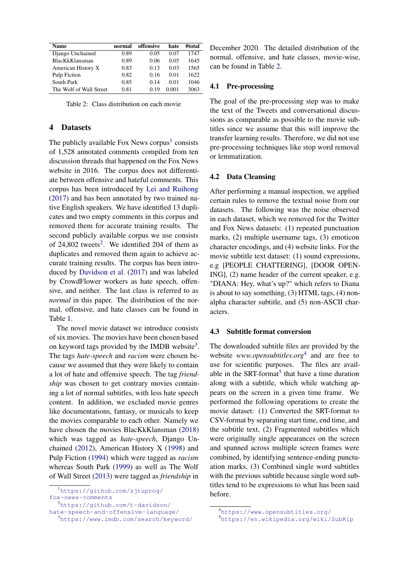<span id="page-3-4"></span>

| Name                    | normal | offensive | hate  | #total |
|-------------------------|--------|-----------|-------|--------|
| Django Unchained        | 0.89   | 0.05      | 0.07  | 1747   |
| <b>BlacKkKlansman</b>   | 0.89   | 0.06      | 0.05  | 1645   |
| American History X      | 0.83   | 0.13      | 0.03  | 1565   |
| Pulp Fiction            | 0.82   | 0.16      | 0.01  | 1622   |
| South Park              | 0.85   | 0.14      | 0.01  | 1046   |
| The Wolf of Wall Street | 0.81   | 0.19      | 0.001 | 3063   |

Table 2: Class distribution on each movie

#### <span id="page-3-0"></span>4 Datasets

The publicly available Fox News corpus<sup>[1](#page-3-1)</sup> consists of 1,528 annotated comments compiled from ten discussion threads that happened on the Fox News website in 2016. The corpus does not differentiate between offensive and hateful comments. This corpus has been introduced by [Lei and Ruihong](#page-8-11) [\(2017](#page-8-11)) and has been annotated by two trained native English speakers. We have identified 13 duplicates and two empty comments in this corpus and removed them for accurate training results. The second publicly available corpus we use consists of  $24,802$  $24,802$  tweets<sup>2</sup>. We identified 204 of them as duplicates and removed them again to achieve accurate training results. The corpus has been introduced by [Davidson et al.](#page-8-1) [\(2017](#page-8-1)) and was labeled by CrowdFlower workers as hate speech, offensive, and neither. The last class is referred to as *normal* in this paper. The distribution of the normal, offensive, and hate classes can be found in Table [1.](#page-2-1)

The novel movie dataset we introduce consists of six movies. The movies have been chosen based on keyword tags provided by the IMDB website $3$ . The tags *hate-speech* and *racism* were chosen because we assumed that they were likely to contain a lot of hate and offensive speech. The tag *friendship* was chosen to get contrary movies containing a lot of normal subtitles, with less hate speech content. In addition, we excluded movie genres like documentations, fantasy, or musicals to keep the movies comparable to each other. Namely we have chosen the movies BlacKkKlansman ([2018](#page-7-4)) which was tagged as *hate-speech*, Django Unchained ([2012](#page-7-5)), American History X [\(1998\)](#page-7-3) and Pulp Fiction [\(1994\)](#page-7-6) which were tagged as *racism* whereas South Park ([1999](#page-7-7)) as well as The Wolf of Wall Street ([2013\)](#page-7-8) were tagged as *friendship* in

<span id="page-3-2"></span><sup>2</sup>[https://github.com/t-davidson/](https://github.com/t-davidson/hate-speech-and-offensive-language/)

[hate-speech-and-offensive-language/](https://github.com/t-davidson/hate-speech-and-offensive-language/)

December 2020. The detailed distribution of the normal, offensive, and hate classes, movie-wise, can be found in Table [2.](#page-3-4)

## 4.1 Pre-processing

The goal of the pre-processing step was to make the text of the Tweets and conversational discussions as comparable as possible to the movie subtitles since we assume that this will improve the transfer learning results. Therefore, we did not use pre-processing techniques like stop word removal or lemmatization.

## 4.2 Data Cleansing

After performing a manual inspection, we applied certain rules to remove the textual noise from our datasets. The following was the noise observed in each dataset, which we removed for the Twitter and Fox News datasets: (1) repeated punctuation marks, (2) multiple username tags, (3) emoticon character encodings, and (4) website links. For the movie subtitle text dataset: (1) sound expressions, e.g [PEOPLE CHATTERING], [DOOR OPEN-ING], (2) name header of the current speaker, e.g. "DIANA: Hey, what's up?" which refers to Diana is about to say something, (3) HTML tags, (4) nonalpha character subtitle, and (5) non-ASCII characters.

#### 4.3 Subtitle format conversion

The downloaded subtitle files are provided by the website *www.opensubtitles.org*[4](#page-3-5) and are free to use for scientific purposes. The files are avail-able in the SRT-format<sup>[5](#page-3-6)</sup> that have a time duration along with a subtitle, which while watching appears on the screen in a given time frame. We performed the following operations to create the movie dataset: (1) Converted the SRT-format to CSV-format by separating start time, end time, and the subtitle text, (2) Fragmented subtitles which were originally single appearances on the screen and spanned across multiple screen frames were combined, by identifying sentence-ending punctuation marks, (3) Combined single word subtitles with the previous subtitle because single word subtitles tend to be expressions to what has been said before.

<span id="page-3-1"></span><sup>&</sup>lt;sup>1</sup>[https://github.com/sjtuprog/](https://github.com/sjtuprog/fox-news-comments) [fox-news-comments](https://github.com/sjtuprog/fox-news-comments)

<span id="page-3-3"></span><sup>3</sup><https://www.imdb.com/search/keyword/>

<span id="page-3-5"></span><sup>4</sup><https://www.opensubtitles.org/>

<span id="page-3-6"></span><sup>5</sup><https://en.wikipedia.org/wiki/SubRip>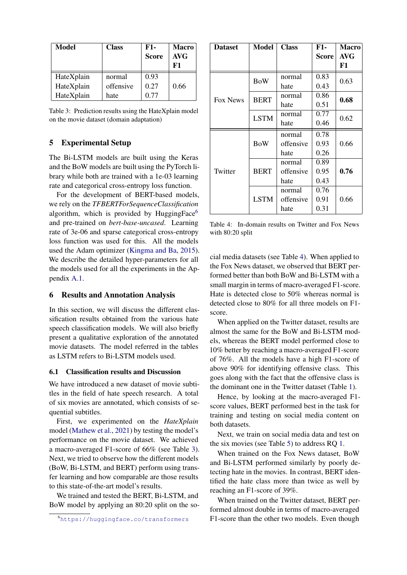<span id="page-4-3"></span>

| Model      | <b>Class</b> | $F1-$<br><b>Score</b> | <b>Macro</b><br><b>AVG</b><br>F1 |
|------------|--------------|-----------------------|----------------------------------|
| HateXplain | normal       | 0.93                  | 0.66                             |
| HateXplain | offensive    | 0.27                  |                                  |
| HateXplain | hate         | 0.77                  |                                  |

Table 3: Prediction results using the HateXplain model on the movie dataset (domain adaptation)

## <span id="page-4-0"></span>5 Experimental Setup

The Bi-LSTM models are built using the Keras and the BoW models are built using the PyTorch library while both are trained with a 1e-03 learning rate and categorical cross-entropy loss function.

For the development of BERT-based models, we rely on the *TFBERTForSequenceClassification* algorithm, which is provided by HuggingFace $<sup>6</sup>$  $<sup>6</sup>$  $<sup>6</sup>$ </sup> and pre-trained on *bert-base-uncased*. Learning rate of 3e-06 and sparse categorical cross-entropy loss function was used for this. All the models used the Adam optimizer [\(Kingma and Ba](#page-8-17), [2015\)](#page-8-17). We describe the detailed hyper-parameters for all the models used for all the experiments in the Appendix [A.1](#page-9-0).

## <span id="page-4-1"></span>6 Results and Annotation Analysis

In this section, we will discuss the different classification results obtained from the various hate speech classification models. We will also briefly present a qualitative exploration of the annotated movie datasets. The model referred in the tables as LSTM refers to Bi-LSTM models used.

## 6.1 Classification results and Discussion

We have introduced a new dataset of movie subtitles in the field of hate speech research. A total of six movies are annotated, which consists of sequential subtitles.

First, we experimented on the *HateXplain* model [\(Mathew et al.](#page-8-10), [2021](#page-8-10)) by testing the model's performance on the movie dataset. We achieved a macro-averaged F1-score of 66% (see Table [3\)](#page-4-3). Next, we tried to observe how the different models (BoW, Bi-LSTM, and BERT) perform using transfer learning and how comparable are those results to this state-of-the-art model's results.

We trained and tested the BERT, Bi-LSTM, and BoW model by applying an 80:20 split on the so-

<span id="page-4-4"></span>

| <b>Dataset</b> | <b>Model</b> | <b>Class</b> | <b>F1-</b> |            |  |
|----------------|--------------|--------------|------------|------------|--|
|                |              |              | Score      | <b>AVG</b> |  |
|                |              |              |            | F1         |  |
|                | <b>BoW</b>   | normal       | 0.83       | 0.63       |  |
|                |              | hate         | 0.43       |            |  |
| Fox News       | <b>BERT</b>  | normal       | 0.86       | 0.68       |  |
|                |              | hate         | 0.51       |            |  |
|                | <b>LSTM</b>  | normal       | 0.77       | 0.62       |  |
|                |              | hate         | 0.46       |            |  |
|                |              | normal       | 0.78       |            |  |
|                | <b>BoW</b>   | offensive    | 0.93       | 0.66       |  |
|                |              | 0.26<br>hate |            |            |  |
|                |              | normal       | 0.89       |            |  |
| Twitter        | <b>BERT</b>  | offensive    | 0.95       | 0.76       |  |
|                |              | 0.43<br>hate |            |            |  |
|                |              | normal       | 0.76       |            |  |
|                | <b>LSTM</b>  | offensive    | 0.91       | 0.66       |  |
|                |              | hate         | 0.31       |            |  |

Table 4: In-domain results on Twitter and Fox News with 80:20 split

cial media datasets (see Table [4](#page-4-4)). When applied to the Fox News dataset, we observed that BERT performed better than both BoW and Bi-LSTM with a small margin in terms of macro-averaged F1-score. Hate is detected close to 50% whereas normal is detected close to 80% for all three models on F1 score.

When applied on the Twitter dataset, results are almost the same for the BoW and Bi-LSTM models, whereas the BERT model performed close to 10% better by reaching a macro-averaged F1-score of 76%. All the models have a high F1-score of above 90% for identifying offensive class. This goes along with the fact that the offensive class is the dominant one in the Twitter dataset (Table [1\)](#page-2-1).

Hence, by looking at the macro-averaged F1 score values, BERT performed best in the task for training and testing on social media content on both datasets.

Next, we train on social media data and test on the six movies (see Table [5](#page-5-0)) to address RQ [1.](#page-0-0)

When trained on the Fox News dataset, BoW and Bi-LSTM performed similarly by poorly detecting hate in the movies. In contrast, BERT identified the hate class more than twice as well by reaching an F1-score of 39%.

When trained on the Twitter dataset, BERT performed almost double in terms of macro-averaged F1-score than the other two models. Even though

<span id="page-4-2"></span><sup>6</sup><https://huggingface.co/transformers>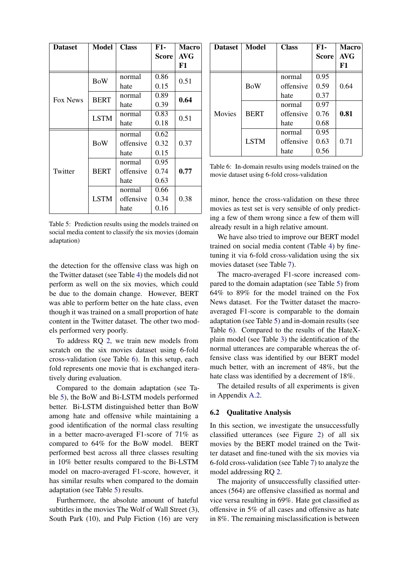<span id="page-5-0"></span>

| <b>Dataset</b> | Model       | <b>Class</b> | F1-          | <b>Macro</b> |
|----------------|-------------|--------------|--------------|--------------|
|                |             |              | <b>Score</b> | <b>AVG</b>   |
|                |             |              |              | F1           |
|                | <b>BoW</b>  | normal       | 0.86         | 0.51         |
|                |             | hate         | 0.15         |              |
| Fox News       | <b>BERT</b> | normal       | 0.89         | 0.64         |
|                |             | hate         | 0.39         |              |
|                | <b>LSTM</b> | normal       | 0.83         | 0.51         |
|                |             | hate         | 0.18         |              |
|                |             | normal       | 0.62         |              |
|                | <b>BoW</b>  | offensive    | 0.32         | 0.37         |
|                |             | hate         | 0.15         |              |
|                |             | normal       | 0.95         |              |
| Twitter        | <b>BERT</b> | offensive    | 0.74         | 0.77         |
|                |             | hate         | 0.63         |              |
|                |             | normal       | 0.66         |              |
|                | <b>LSTM</b> | offensive    | 0.34         |              |
|                |             | hate         | 0.16         |              |

Table 5: Prediction results using the models trained on social media content to classify the six movies (domain adaptation)

the detection for the offensive class was high on the Twitter dataset (see Table [4\)](#page-4-4) the models did not perform as well on the six movies, which could be due to the domain change. However, BERT was able to perform better on the hate class, even though it was trained on a small proportion of hate content in the Twitter dataset. The other two models performed very poorly.

To address RQ [2](#page-0-1), we train new models from scratch on the six movies dataset using 6-fold cross-validation (see Table [6](#page-5-1)). In this setup, each fold represents one movie that is exchanged iteratively during evaluation.

Compared to the domain adaptation (see Table [5\)](#page-5-0), the BoW and Bi-LSTM models performed better. Bi-LSTM distinguished better than BoW among hate and offensive while maintaining a good identification of the normal class resulting in a better macro-averaged F1-score of 71% as compared to 64% for the BoW model. BERT performed best across all three classes resulting in 10% better results compared to the Bi-LSTM model on macro-averaged F1-score, however, it has similar results when compared to the domain adaptation (see Table [5\)](#page-5-0) results.

Furthermore, the absolute amount of hateful subtitles in the movies The Wolf of Wall Street (3), South Park (10), and Pulp Fiction (16) are very

<span id="page-5-1"></span>

| <b>Dataset</b> | Model       | <b>Class</b> | $F1-$        | <b>Macro</b> |
|----------------|-------------|--------------|--------------|--------------|
|                |             |              | <b>Score</b> | <b>AVG</b>   |
|                |             |              |              | F1           |
|                |             | normal       | 0.95         |              |
|                | <b>BoW</b>  | offensive    | 0.59         | 0.64         |
|                |             | hate         | 0.37         |              |
|                |             | normal       | 0.97         |              |
| Movies         | <b>BERT</b> | offensive    | 0.76         | 0.81         |
|                |             | hate         | 0.68         |              |
|                |             | normal       | 0.95         |              |
|                | <b>LSTM</b> | offensive    | 0.63         | 0.71         |
|                |             | hate         | 0.56         |              |

Table 6: In-domain results using models trained on the movie dataset using 6-fold cross-validation

minor, hence the cross-validation on these three movies as test set is very sensible of only predicting a few of them wrong since a few of them will already result in a high relative amount.

We have also tried to improve our BERT model trained on social media content (Table [4](#page-4-4)) by finetuning it via 6-fold cross-validation using the six movies dataset (see Table [7\)](#page-6-2).

The macro-averaged F1-score increased compared to the domain adaptation (see Table [5\)](#page-5-0) from 64% to 89% for the model trained on the Fox News dataset. For the Twitter dataset the macroaveraged F1-score is comparable to the domain adaptation (see Table [5](#page-5-0)) and in-domain results (see Table [6](#page-5-1)). Compared to the results of the HateXplain model (see Table [3\)](#page-4-3) the identification of the normal utterances are comparable whereas the offensive class was identified by our BERT model much better, with an increment of 48%, but the hate class was identified by a decrement of 18%.

The detailed results of all experiments is given in Appendix [A.2](#page-9-1).

## 6.2 Qualitative Analysis

In this section, we investigate the unsuccessfully classified utterances (see Figure [2\)](#page-6-3) of all six movies by the BERT model trained on the Twitter dataset and fine-tuned with the six movies via 6-fold cross-validation (see Table [7\)](#page-6-2) to analyze the model addressing RQ [2.](#page-0-1)

The majority of unsuccessfully classified utterances (564) are offensive classified as normal and vice versa resulting in 69%. Hate got classified as offensive in 5% of all cases and offensive as hate in 8%. The remaining misclassification is between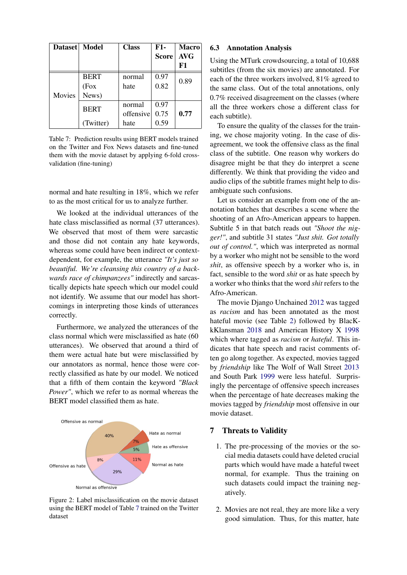<span id="page-6-2"></span>

| Dataset   Model |                               | <b>Class</b>                | <b>F1-</b><br><b>Score</b> | <b>Macro</b><br><b>AVG</b><br>F1 |
|-----------------|-------------------------------|-----------------------------|----------------------------|----------------------------------|
| Movies          | <b>BERT</b><br>(Fox)<br>News) | normal<br>hate              | 0.97<br>0.82               | 0.89                             |
|                 | <b>BERT</b><br>(Twitter)      | normal<br>offensive<br>hate | 0.97<br>0.75<br>0.59       | 0.77                             |

Table 7: Prediction results using BERT models trained on the Twitter and Fox News datasets and fine-tuned them with the movie dataset by applying 6-fold crossvalidation (fine-tuning)

normal and hate resulting in 18%, which we refer to as the most critical for us to analyze further.

We looked at the individual utterances of the hate class misclassified as normal (37 utterances). We observed that most of them were sarcastic and those did not contain any hate keywords, whereas some could have been indirect or contextdependent, for example, the utterance *"It's just so beautiful. We're cleansing this country of a backwards race of chimpanzees"* indirectly and sarcastically depicts hate speech which our model could not identify. We assume that our model has shortcomings in interpreting those kinds of utterances correctly.

Furthermore, we analyzed the utterances of the class normal which were misclassified as hate (60 utterances). We observed that around a third of them were actual hate but were misclassified by our annotators as normal, hence those were correctly classified as hate by our model. We noticed that a fifth of them contain the keyword *"Black Power"*, which we refer to as normal whereas the BERT model classified them as hate.

<span id="page-6-3"></span>

Figure 2: Label misclassification on the movie dataset using the BERT model of Table [7](#page-6-2) trained on the Twitter dataset

#### <span id="page-6-1"></span>6.3 Annotation Analysis

Using the MTurk crowdsourcing, a total of 10,688 subtitles (from the six movies) are annotated. For each of the three workers involved, 81% agreed to the same class. Out of the total annotations, only 0.7% received disagreement on the classes (where all the three workers chose a different class for each subtitle).

To ensure the quality of the classes for the training, we chose majority voting. In the case of disagreement, we took the offensive class as the final class of the subtitle. One reason why workers do disagree might be that they do interpret a scene differently. We think that providing the video and audio clips of the subtitle frames might help to disambiguate such confusions.

Let us consider an example from one of the annotation batches that describes a scene where the shooting of an Afro-American appears to happen. Subtitle 5 in that batch reads out *"Shoot the nigger!"*, and subtitle 31 states *"Just shit. Got totally out of control."*, which was interpreted as normal by a worker who might not be sensible to the word *shit*, as offensive speech by a worker who is, in fact, sensible to the word *shit* or as hate speech by a worker who thinks that the word *shit* refers to the Afro-American.

The movie Django Unchained [2012](#page-7-5) was tagged as *racism* and has been annotated as the most hateful movie (see Table [2](#page-3-4)) followed by BlacKkKlansman [2018](#page-7-4) and American History X [1998](#page-7-3) which where tagged as *racism* or *hateful*. This indicates that hate speech and racist comments often go along together. As expected, movies tagged by *friendship* like The Wolf of Wall Street [2013](#page-7-8) and South Park [1999](#page-7-7) were less hateful. Surprisingly the percentage of offensive speech increases when the percentage of hate decreases making the movies tagged by *friendship* most offensive in our movie dataset.

#### <span id="page-6-0"></span>7 Threats to Validity

- 1. The pre-processing of the movies or the social media datasets could have deleted crucial parts which would have made a hateful tweet normal, for example. Thus the training on such datasets could impact the training negatively.
- 2. Movies are not real, they are more like a very good simulation. Thus, for this matter, hate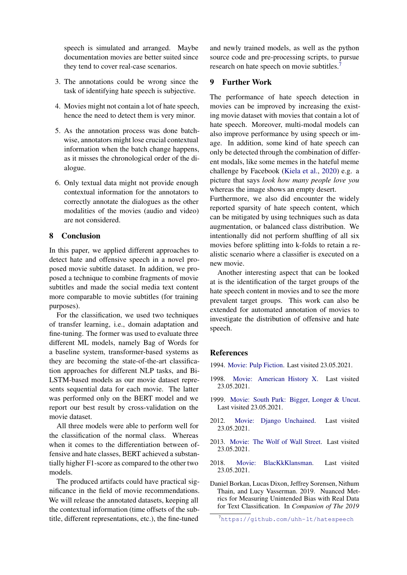speech is simulated and arranged. Maybe documentation movies are better suited since they tend to cover real-case scenarios.

- 3. The annotations could be wrong since the task of identifying hate speech is subjective.
- 4. Movies might not contain a lot of hate speech, hence the need to detect them is very minor.
- 5. As the annotation process was done batchwise, annotators might lose crucial contextual information when the batch change happens, as it misses the chronological order of the dialogue.
- 6. Only textual data might not provide enough contextual information for the annotators to correctly annotate the dialogues as the other modalities of the movies (audio and video) are not considered.

## <span id="page-7-0"></span>8 Conclusion

In this paper, we applied different approaches to detect hate and offensive speech in a novel proposed movie subtitle dataset. In addition, we proposed a technique to combine fragments of movie subtitles and made the social media text content more comparable to movie subtitles (for training purposes).

For the classification, we used two techniques of transfer learning, i.e., domain adaptation and fine-tuning. The former was used to evaluate three different ML models, namely Bag of Words for a baseline system, transformer-based systems as they are becoming the state-of-the-art classification approaches for different NLP tasks, and Bi-LSTM-based models as our movie dataset represents sequential data for each movie. The latter was performed only on the BERT model and we report our best result by cross-validation on the movie dataset.

All three models were able to perform well for the classification of the normal class. Whereas when it comes to the differentiation between offensive and hate classes, BERT achieved a substantially higher F1-score as compared to the other two models.

The produced artifacts could have practical significance in the field of movie recommendations. We will release the annotated datasets, keeping all the contextual information (time offsets of the subtitle, different representations, etc.), the fine-tuned

and newly trained models, as well as the python source code and pre-processing scripts, to pursue research on hate speech on movie subtitles.[7](#page-7-9)

## <span id="page-7-1"></span>9 Further Work

The performance of hate speech detection in movies can be improved by increasing the existing movie dataset with movies that contain a lot of hate speech. Moreover, multi-modal models can also improve performance by using speech or image. In addition, some kind of hate speech can only be detected through the combination of different modals, like some memes in the hateful meme challenge by Facebook ([Kiela et al.,](#page-8-18) [2020\)](#page-8-18) e.g. a picture that says *look how many people love you* whereas the image shows an empty desert.

Furthermore, we also did encounter the widely reported sparsity of hate speech content, which can be mitigated by using techniques such as data augmentation, or balanced class distribution. We intentionally did not perform shuffling of all six movies before splitting into k-folds to retain a realistic scenario where a classifier is executed on a new movie.

Another interesting aspect that can be looked at is the identification of the target groups of the hate speech content in movies and to see the more prevalent target groups. This work can also be extended for automated annotation of movies to investigate the distribution of offensive and hate speech.

## References

<span id="page-7-6"></span>1994. [Movie: Pulp Fiction.](https://www.opensubtitles.org/de/search/sublanguageid-eng/idmovie-60) Last visited 23.05.2021.

- <span id="page-7-3"></span>1998. [Movie: American History X](https://www.opensubtitles.org/de/search/sublanguageid-eng/idmovie-1583). Last visited 23.05.2021.
- <span id="page-7-7"></span>1999. [Movie: South Park: Bigger, Longer & Uncut.](https://www.opensubtitles.org/de/search/sublanguageid-eng/idmovie-3053) Last visited 23.05.2021.
- <span id="page-7-5"></span>2012. [Movie: Django Unchained.](https://www.opensubtitles.org/de/search/sublanguageid-eng/idmovie-131086) Last visited 23.05.2021.
- <span id="page-7-8"></span>2013. [Movie: The Wolf of Wall Street](https://www.opensubtitles.org/de/search/sublanguageid-eng/idmovie-161460). Last visited 23.05.2021.
- <span id="page-7-4"></span>2018. [Movie: BlacKkKlansman.](https://www.opensubtitles.org/de/search/sublanguageid-eng/idmovie-639472) Last visited 23.05.2021.
- <span id="page-7-2"></span>Daniel Borkan, Lucas Dixon, Jeffrey Sorensen, Nithum Thain, and Lucy Vasserman. 2019. Nuanced Metrics for Measuring Unintended Bias with Real Data for Text Classification. In *Companion of The 2019*

<span id="page-7-9"></span><sup>7</sup><https://github.com/uhh-lt/hatespeech>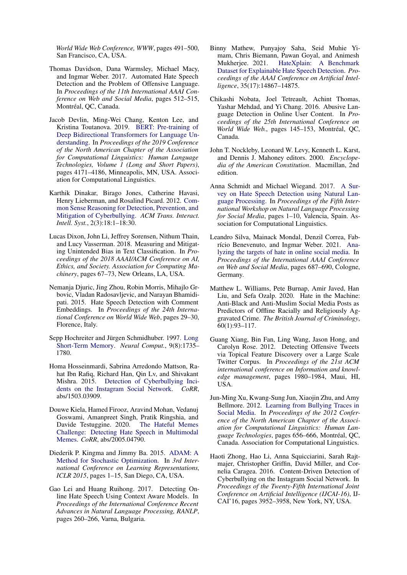*World Wide Web Conference, WWW*, pages 491–500, San Francisco, CA, USA.

- <span id="page-8-1"></span>Thomas Davidson, Dana Warmsley, Michael Macy, and Ingmar Weber. 2017. Automated Hate Speech Detection and the Problem of Offensive Language. In *Proceedings of the 11th International AAAI Conference on Web and Social Media*, pages 512–515, Montréal, QC, Canada.
- <span id="page-8-7"></span>Jacob Devlin, Ming-Wei Chang, Kenton Lee, and Kristina Toutanova. 2019. [BERT: Pre-training of](https://doi.org/10.18653/v1/N19-1423) [Deep Bidirectional Transformers for Language Un](https://doi.org/10.18653/v1/N19-1423)[derstanding](https://doi.org/10.18653/v1/N19-1423). In *Proceedings of the 2019 Conference of the North American Chapter of the Association for Computational Linguistics: Human Language Technologies, Volume 1 (Long and Short Papers)*, pages 4171–4186, Minneapolis, MN, USA. Association for Computational Linguistics.
- <span id="page-8-15"></span>Karthik Dinakar, Birago Jones, Catherine Havasi, Henry Lieberman, and Rosalind Picard. 2012. [Com](https://doi.org/10.1145/2362394.2362400)[mon Sense Reasoning for Detection, Prevention, and](https://doi.org/10.1145/2362394.2362400) [Mitigation of Cyberbullying](https://doi.org/10.1145/2362394.2362400). *ACM Trans. Interact. Intell. Syst.*, 2(3):18:1–18:30.
- <span id="page-8-9"></span>Lucas Dixon, John Li, Jeffrey Sorensen, Nithum Thain, and Lucy Vasserman. 2018. Measuring and Mitigating Unintended Bias in Text Classification. In *Proceedings of the 2018 AAAI/ACM Conference on AI, Ethics, and Society. Association for Computing Machinery*, pages 67–73, New Orleans, LA, USA.
- <span id="page-8-14"></span>Nemanja Djuric, Jing Zhou, Robin Morris, Mihajlo Grbovic, Vladan Radosavljevic, and Narayan Bhamidipati. 2015. Hate Speech Detection with Comment Embeddings. In *Proceedings of the 24th International Conference on World Wide Web*, pages 29–30, Florence, Italy.
- <span id="page-8-8"></span>Sepp Hochreiter and Jürgen Schmidhuber. 1997. [Long](https://doi.org/10.1162/neco.1997.9.8.1735) [Short-Term Memory.](https://doi.org/10.1162/neco.1997.9.8.1735) *Neural Comput.*, 9(8):1735– 1780.
- <span id="page-8-5"></span>Homa Hosseinmardi, Sabrina Arredondo Mattson, Rahat Ibn Rafiq, Richard Han, Qin Lv, and Shivakant Mishra. 2015. [Detection of Cyberbullying Inci](http://arxiv.org/abs/1503.03909)[dents on the Instagram Social Network.](http://arxiv.org/abs/1503.03909) *CoRR*, abs/1503.03909.
- <span id="page-8-18"></span>Douwe Kiela, Hamed Firooz, Aravind Mohan, Vedanuj Goswami, Amanpreet Singh, Pratik Ringshia, and Davide Testuggine. 2020. [The Hateful Memes](http://arxiv.org/abs/2005.04790) [Challenge: Detecting Hate Speech in Multimodal](http://arxiv.org/abs/2005.04790) [Memes](http://arxiv.org/abs/2005.04790). *CoRR*, abs/2005.04790.
- <span id="page-8-17"></span>Diederik P. Kingma and Jimmy Ba. 2015. [ADAM: A](https://arxiv.org/pdf/1412.6980.pdf) [Method for Stochastic Optimization](https://arxiv.org/pdf/1412.6980.pdf). In *3rd International Conference on Learning Representations, ICLR 2015*, pages 1–15, San Diego, CA, USA.
- <span id="page-8-11"></span>Gao Lei and Huang Ruihong. 2017. Detecting Online Hate Speech Using Context Aware Models. In *Proceedings of the International Conference Recent Advances in Natural Language Processing, RANLP*, pages 260–266, Varna, Bulgaria.
- <span id="page-8-10"></span>Binny Mathew, Punyajoy Saha, Seid Muhie Yimam, Chris Biemann, Pawan Goyal, and Animesh Mukherjee. 2021. [HateXplain: A Benchmark](https://ojs.aaai.org/index.php/AAAI/article/view/17745) [Dataset for Explainable Hate Speech Detection](https://ojs.aaai.org/index.php/AAAI/article/view/17745). *Proceedings of the AAAI Conference on Artificial Intelligence*, 35(17):14867–14875.
- <span id="page-8-13"></span>Chikashi Nobata, Joel Tetreault, Achint Thomas, Yashar Mehdad, and Yi Chang. 2016. Abusive Language Detection in Online User Content. In *Proceedings of the 25th International Conference on World Wide Web.*, pages 145–153, Montréal, QC, Canada.
- <span id="page-8-0"></span>John T. Nockleby, Leonard W. Levy, Kenneth L. Karst, and Dennis J. Mahoney editors. 2000. *Encyclopedia of the American Constitution*. Macmillan, 2nd edition.
- <span id="page-8-2"></span>Anna Schmidt and Michael Wiegand. 2017. [A Sur](https://doi.org/10.18653/v1/W17-1101)[vey on Hate Speech Detection using Natural Lan](https://doi.org/10.18653/v1/W17-1101)[guage Processing.](https://doi.org/10.18653/v1/W17-1101) In *Proceedings of the Fifth International Workshop on Natural Language Processing for Social Media*, pages 1–10, Valencia, Spain. Association for Computational Linguistics.
- <span id="page-8-16"></span>Leandro Silva, Mainack Mondal, Denzil Correa, Fabrício Benevenuto, and Ingmar Weber. 2021. [Ana](https://ojs.aaai.org/index.php/ICWSM/article/view/14811)[lyzing the targets of hate in online social media.](https://ojs.aaai.org/index.php/ICWSM/article/view/14811) In *Proceedings of the International AAAI Conference on Web and Social Media*, pages 687–690, Cologne, Germany.
- <span id="page-8-3"></span>Matthew L. Williams, Pete Burnap, Amir Javed, Han Liu, and Sefa Ozalp. 2020. Hate in the Machine: Anti-Black and Anti-Muslim Social Media Posts as Predictors of Offline Racially and Religiously Aggravated Crime. *The British Journal of Criminology*, 60(1):93–117.
- <span id="page-8-12"></span>Guang Xiang, Bin Fan, Ling Wang, Jason Hong, and Carolyn Rose. 2012. Detecting Offensive Tweets via Topical Feature Discovery over a Large Scale Twitter Corpus. In *Proceedings of the 21st ACM international conference on Information and knowledge management*, pages 1980–1984, Maui, HI, USA.
- <span id="page-8-4"></span>Jun-Ming Xu, Kwang-Sung Jun, Xiaojin Zhu, and Amy Bellmore. 2012. [Learning from Bullying Traces in](https://www.aclweb.org/anthology/N12-1084) [Social Media](https://www.aclweb.org/anthology/N12-1084). In *Proceedings of the 2012 Conference of the North American Chapter of the Association for Computational Linguistics: Human Language Technologies*, pages 656–666, Montréal, QC, Canada. Association for Computational Linguistics.
- <span id="page-8-6"></span>Haoti Zhong, Hao Li, Anna Squicciarini, Sarah Rajtmajer, Christopher Griffin, David Miller, and Cornelia Caragea. 2016. Content-Driven Detection of Cyberbullying on the Instagram Social Network. In *Proceedings of the Twenty-Fifth International Joint Conference on Artificial Intelligence (IJCAI-16)*, IJ-CAI'16, pages 3952–3958, New York, NY, USA.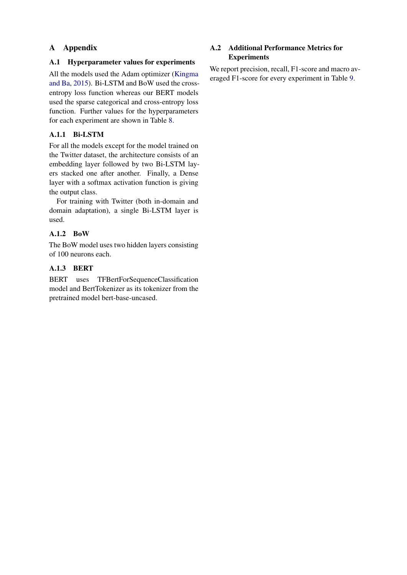# A Appendix

## <span id="page-9-0"></span>A.1 Hyperparameter values for experiments

All the models used the Adam optimizer [\(Kingma](#page-8-17) [and Ba](#page-8-17), [2015](#page-8-17)). Bi-LSTM and BoW used the crossentropy loss function whereas our BERT models used the sparse categorical and cross-entropy loss function. Further values for the hyperparameters for each experiment are shown in Table [8](#page-10-0).

# A.1.1 Bi-LSTM

For all the models except for the model trained on the Twitter dataset, the architecture consists of an embedding layer followed by two Bi-LSTM layers stacked one after another. Finally, a Dense layer with a softmax activation function is giving the output class.

For training with Twitter (both in-domain and domain adaptation), a single Bi-LSTM layer is used.

# A.1.2 BoW

The BoW model uses two hidden layers consisting of 100 neurons each.

# A.1.3 BERT

BERT uses TFBertForSequenceClassification model and BertTokenizer as its tokenizer from the pretrained model bert-base-uncased.

# <span id="page-9-1"></span>A.2 Additional Performance Metrics for **Experiments**

We report precision, recall, F1-score and macro averaged F1-score for every experiment in Table [9.](#page-11-0)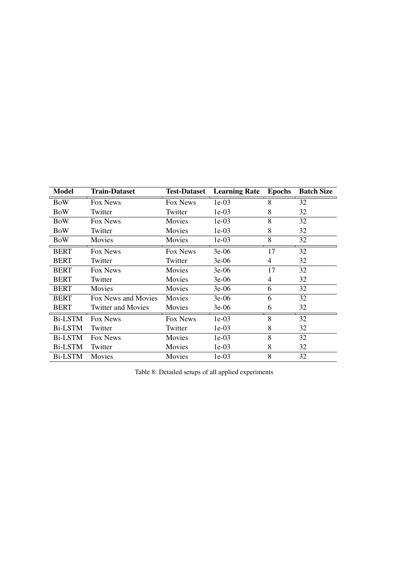<span id="page-10-0"></span>

| <b>Model</b>   | <b>Train-Dataset</b>      | <b>Test-Dataset</b> | <b>Learning Rate</b> | <b>Epochs</b> | <b>Batch Size</b> |
|----------------|---------------------------|---------------------|----------------------|---------------|-------------------|
| <b>BoW</b>     | Fox News                  | Fox News            | $1e-03$              | 8             | 32                |
| <b>BoW</b>     | Twitter                   | Twitter             | $1e-03$              | 8             | 32                |
| <b>BoW</b>     | Fox News                  | Movies              | $1e-03$              | 8             | 32                |
| <b>BoW</b>     | Twitter                   | Movies              | $1e-03$              | 8             | 32                |
| <b>BoW</b>     | Movies                    | Movies              | $1e-03$              | 8             | 32                |
| <b>BERT</b>    | Fox News                  | Fox News            | $3e-06$              | 17            | 32                |
| <b>BERT</b>    | Twitter                   | Twitter             | $3e-06$              | 4             | 32                |
| <b>BERT</b>    | Fox News                  | Movies              | $3e-06$              | 17            | 32                |
| <b>BERT</b>    | Twitter                   | Movies              | $3e-06$              | 4             | 32                |
| <b>BERT</b>    | Movies                    | Movies              | $3e-06$              | 6             | 32                |
| <b>BERT</b>    | Fox News and Movies       | Movies              | $3e-06$              | 6             | 32                |
| <b>BERT</b>    | <b>Twitter and Movies</b> | Movies              | $3e-06$              | 6             | 32                |
| <b>Bi-LSTM</b> | Fox News                  | Fox News            | $1e-03$              | 8             | 32                |
| <b>Bi-LSTM</b> | Twitter                   | Twitter             | $1e-03$              | 8             | 32                |
| <b>Bi-LSTM</b> | Fox News                  | Movies              | $1e-03$              | 8             | 32                |
| <b>Bi-LSTM</b> | Twitter                   | Movies              | $1e-03$              | 8             | 32                |
| <b>Bi-LSTM</b> | Movies                    | Movies              | $1e-03$              | 8             | 32                |

Table 8: Detailed setups of all applied experiments